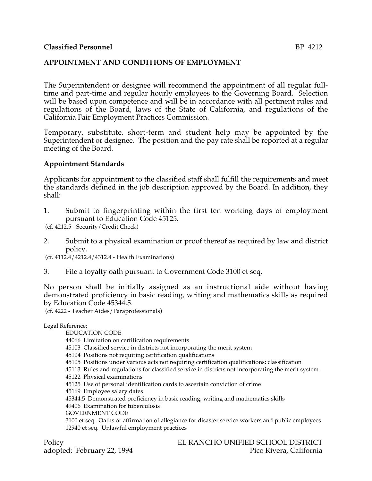## **APPOINTMENT AND CONDITIONS OF EMPLOYMENT**

The Superintendent or designee will recommend the appointment of all regular fulltime and part-time and regular hourly employees to the Governing Board. Selection will be based upon competence and will be in accordance with all pertinent rules and regulations of the Board, laws of the State of California, and regulations of the California Fair Employment Practices Commission.

Temporary, substitute, short-term and student help may be appointed by the Superintendent or designee. The position and the pay rate shall be reported at a regular meeting of the Board.

## **Appointment Standards**

Applicants for appointment to the classified staff shall fulfill the requirements and meet the standards defined in the job description approved by the Board. In addition, they shall:

1. Submit to fingerprinting within the first ten working days of employment pursuant to Education Code 45125.

(cf. 4212.5 - Security/Credit Check)

2. Submit to a physical examination or proof thereof as required by law and district policy.

(cf. 4112.4/4212.4/4312.4 - Health Examinations)

3. File a loyalty oath pursuant to Government Code 3100 et seq.

No person shall be initially assigned as an instructional aide without having demonstrated proficiency in basic reading, writing and mathematics skills as required by Education Code 45344.5.

(cf. 4222 - Teacher Aides/Paraprofessionals)

Legal Reference:

EDUCATION CODE

44066 Limitation on certification requirements

45103 Classified service in districts not incorporating the merit system

45104 Positions not requiring certification qualifications

45105 Positions under various acts not requiring certification qualifications; classification

45113 Rules and regulations for classified service in districts not incorporating the merit system

45122 Physical examinations

45125 Use of personal identification cards to ascertain conviction of crime

45169 Employee salary dates

45344.5 Demonstrated proficiency in basic reading, writing and mathematics skills

49406 Examination for tuberculosis

GOVERNMENT CODE

3100 et seq. Oaths or affirmation of allegiance for disaster service workers and public employees 12940 et seq. Unlawful employment practices

adopted: February 22, 1994

Policy<br>EL RANCHO UNIFIED SCHOOL DISTRICT<br>Pico Rivera, California